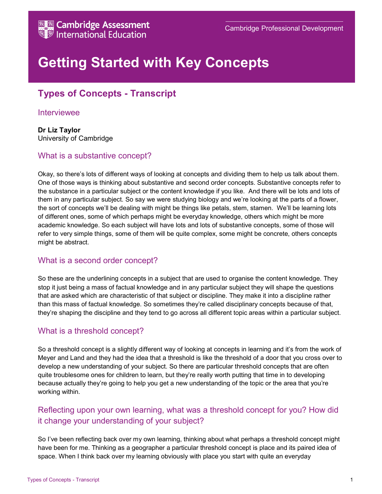

# Getting Started with Key Concepts

# Types of Concepts - Transcript

#### Interviewee

Dr Liz Taylor University of Cambridge

### What is a substantive concept?

Okay, so there's lots of different ways of looking at concepts and dividing them to help us talk about them. One of those ways is thinking about substantive and second order concepts. Substantive concepts refer to the substance in a particular subject or the content knowledge if you like. And there will be lots and lots of them in any particular subject. So say we were studying biology and we're looking at the parts of a flower, the sort of concepts we'll be dealing with might be things like petals, stem, stamen. We'll be learning lots of different ones, some of which perhaps might be everyday knowledge, others which might be more academic knowledge. So each subject will have lots and lots of substantive concepts, some of those will refer to very simple things, some of them will be quite complex, some might be concrete, others concepts might be abstract.

#### What is a second order concept?

So these are the underlining concepts in a subject that are used to organise the content knowledge. They stop it just being a mass of factual knowledge and in any particular subject they will shape the questions that are asked which are characteristic of that subject or discipline. They make it into a discipline rather than this mass of factual knowledge. So sometimes they're called disciplinary concepts because of that, they're shaping the discipline and they tend to go across all different topic areas within a particular subject.

### What is a threshold concept?

So a threshold concept is a slightly different way of looking at concepts in learning and it's from the work of Meyer and Land and they had the idea that a threshold is like the threshold of a door that you cross over to develop a new understanding of your subject. So there are particular threshold concepts that are often quite troublesome ones for children to learn, but they're really worth putting that time in to developing because actually they're going to help you get a new understanding of the topic or the area that you're working within.

## Reflecting upon your own learning, what was a threshold concept for you? How did it change your understanding of your subject?

So I've been reflecting back over my own learning, thinking about what perhaps a threshold concept might have been for me. Thinking as a geographer a particular threshold concept is place and its paired idea of space. When I think back over my learning obviously with place you start with quite an everyday